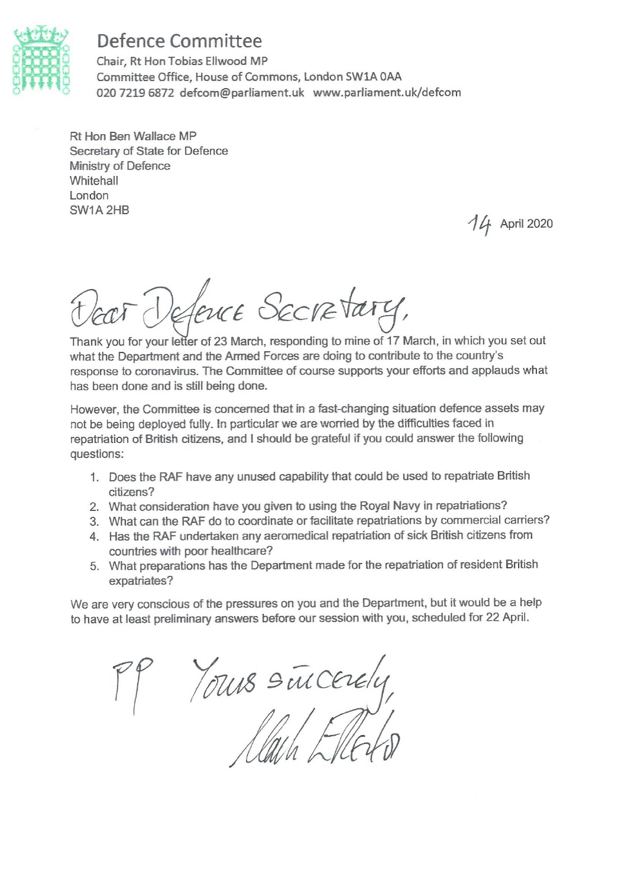

# **Defence Committee**

Chair, Rt Hon Tobias Ellwood MP Committee Office, House of Commons, London SW1A 0AA 020 7219 6872 defcom@parliament.uk www.parliament.uk/defcom

Rt Hon Ben Wallace MP Secretary of State for Defence Ministry of Defence Whitehall London SW1A 2HB

14 April 2020

zor Defence Secretary,

Thank you for your letter of 23 March, responding to mine of 17 March, in which you set out what the Department and the Armed Forces are doing to contribute to the country's response to coronavirus. The Committee of course supports your efforts and applauds what has been done and is still being done.

However, the Committee is concerned that in a fast-changing situation defence assets may not be being deployed fully. In particular we are worried by the difficulties faced in repatriation of British citizens, and I should be grateful if you could answer the following questions:

- 1. Does the RAF have any unused capability that could be used to repatriate British citizens?
- 2. What consideration have you given to using the Royal Navy in repatriations?
- 3. What can the RAF do to coordinate or facilitate repatriations by commercial carriers?
- 4. Has the RAF undertaken any aeromedical repatriation of sick British citizens from countries with poor healthcare?
- 5. What preparations has the Department made for the repatriation of resident British expatriates?

We are very conscious of the pressures on you and the Department, but it would be a help to have at least preliminary answers before our session with you, scheduled for 22 April.

PP Yours succeele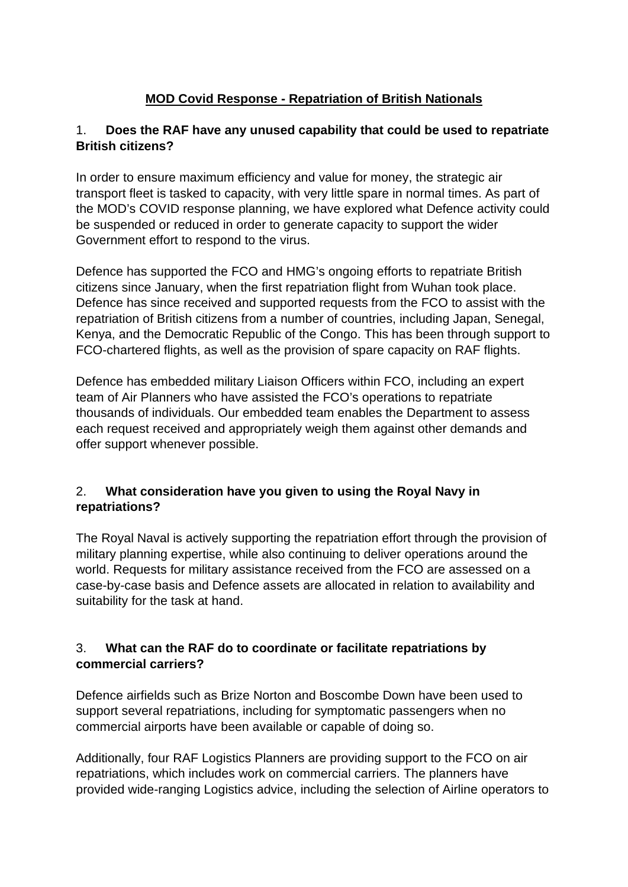# **MOD Covid Response - Repatriation of British Nationals**

#### 1. **Does the RAF have any unused capability that could be used to repatriate British citizens?**

In order to ensure maximum efficiency and value for money, the strategic air transport fleet is tasked to capacity, with very little spare in normal times. As part of the MOD's COVID response planning, we have explored what Defence activity could be suspended or reduced in order to generate capacity to support the wider Government effort to respond to the virus.

Defence has supported the FCO and HMG's ongoing efforts to repatriate British citizens since January, when the first repatriation flight from Wuhan took place. Defence has since received and supported requests from the FCO to assist with the repatriation of British citizens from a number of countries, including Japan, Senegal, Kenya, and the Democratic Republic of the Congo. This has been through support to FCO-chartered flights, as well as the provision of spare capacity on RAF flights.

Defence has embedded military Liaison Officers within FCO, including an expert team of Air Planners who have assisted the FCO's operations to repatriate thousands of individuals. Our embedded team enables the Department to assess each request received and appropriately weigh them against other demands and offer support whenever possible.

#### 2. **What consideration have you given to using the Royal Navy in repatriations?**

The Royal Naval is actively supporting the repatriation effort through the provision of military planning expertise, while also continuing to deliver operations around the world. Requests for military assistance received from the FCO are assessed on a case-by-case basis and Defence assets are allocated in relation to availability and suitability for the task at hand.

## 3. **What can the RAF do to coordinate or facilitate repatriations by commercial carriers?**

Defence airfields such as Brize Norton and Boscombe Down have been used to support several repatriations, including for symptomatic passengers when no commercial airports have been available or capable of doing so.

Additionally, four RAF Logistics Planners are providing support to the FCO on air repatriations, which includes work on commercial carriers. The planners have provided wide-ranging Logistics advice, including the selection of Airline operators to